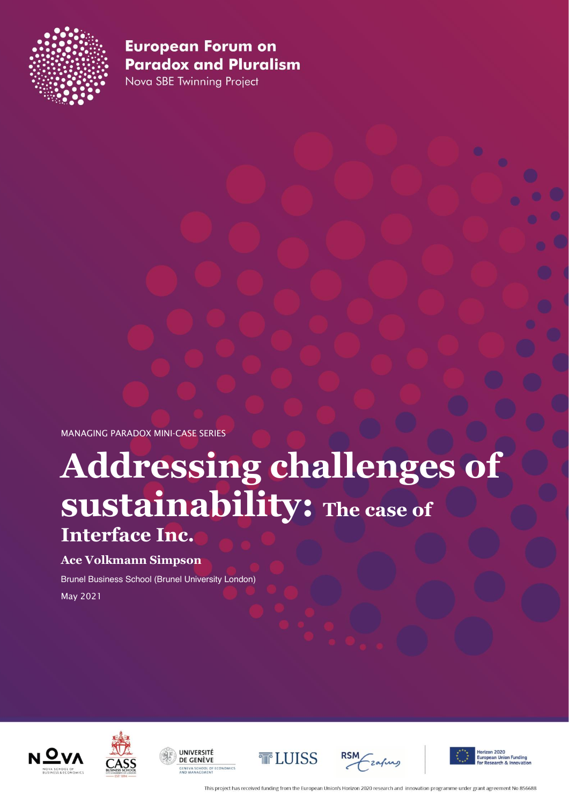

Nova SBE Twinning Project

MANAGING PARADOX MINI-CASE SERIES

# **Addressing challenges of sustainability: The case of Interface Inc.**

#### **Ace Volkmann Simpson**

Brunel Business School (Brunel University London) May 2021













**Union Funding<br>ch & Innovation** 

This project has received funding from the European Union's Horizon 2020 research and innovation programme under grant agreement No 856688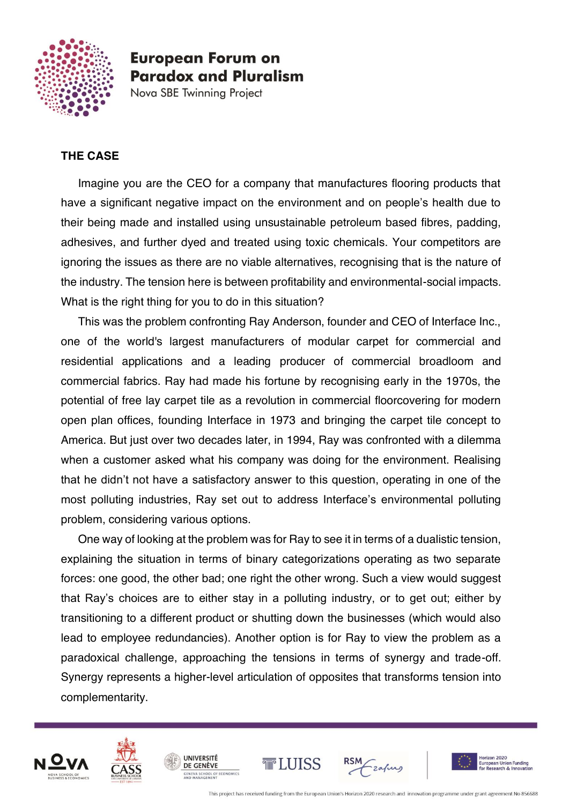

Nova SBE Twinning Project

#### **THE CASE**

Imagine you are the CEO for a company that manufactures flooring products that have a significant negative impact on the environment and on people's health due to their being made and installed using unsustainable petroleum based fibres, padding, adhesives, and further dyed and treated using toxic chemicals. Your competitors are ignoring the issues as there are no viable alternatives, recognising that is the nature of the industry. The tension here is between profitability and environmental-social impacts. What is the right thing for you to do in this situation?

This was the problem confronting Ray Anderson, founder and CEO of Interface Inc., one of the world's largest manufacturers of modular carpet for commercial and residential applications and a leading producer of commercial broadloom and commercial fabrics. Ray had made his fortune by recognising early in the 1970s, the potential of free lay carpet tile as a revolution in commercial floorcovering for modern open plan offices, founding Interface in 1973 and bringing the carpet tile concept to America. But just over two decades later, in 1994, Ray was confronted with a dilemma when a customer asked what his company was doing for the environment. Realising that he didn't not have a satisfactory answer to this question, operating in one of the most polluting industries, Ray set out to address Interface's environmental polluting problem, considering various options.

One way of looking at the problem was for Ray to see it in terms of a dualistic tension, explaining the situation in terms of binary categorizations operating as two separate forces: one good, the other bad; one right the other wrong. Such a view would suggest that Ray's choices are to either stay in a polluting industry, or to get out; either by transitioning to a different product or shutting down the businesses (which would also lead to employee redundancies). Another option is for Ray to view the problem as a paradoxical challenge, approaching the tensions in terms of synergy and trade-off. Synergy represents a higher-level articulation of opposites that transforms tension into complementarity.





UNIVERSITÉ

DE GENÈVE

IEVA SCHOOL OF ECONOMICS<br>) MANAGEMENT





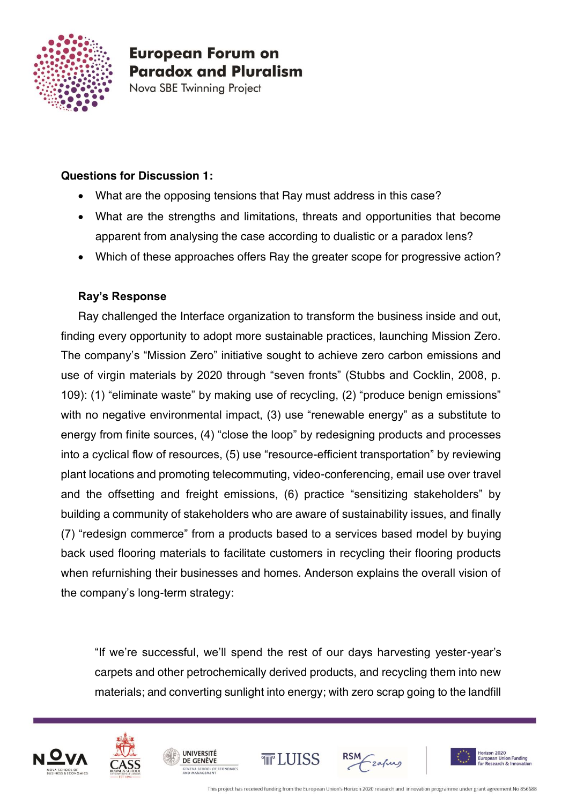

Nova SBE Twinning Project

#### **Questions for Discussion 1:**

- What are the opposing tensions that Ray must address in this case?
- What are the strengths and limitations, threats and opportunities that become apparent from analysing the case according to dualistic or a paradox lens?
- Which of these approaches offers Ray the greater scope for progressive action?

#### **Ray's Response**

Ray challenged the Interface organization to transform the business inside and out, finding every opportunity to adopt more sustainable practices, launching Mission Zero. The company's "Mission Zero" initiative sought to achieve zero carbon emissions and use of virgin materials by 2020 through "seven fronts" (Stubbs and Cocklin, 2008, p. 109): (1) "eliminate waste" by making use of recycling, (2) "produce benign emissions" with no negative environmental impact, (3) use "renewable energy" as a substitute to energy from finite sources, (4) "close the loop" by redesigning products and processes into a cyclical flow of resources, (5) use "resource-efficient transportation" by reviewing plant locations and promoting telecommuting, video-conferencing, email use over travel and the offsetting and freight emissions, (6) practice "sensitizing stakeholders" by building a community of stakeholders who are aware of sustainability issues, and finally (7) "redesign commerce" from a products based to a services based model by buying back used flooring materials to facilitate customers in recycling their flooring products when refurnishing their businesses and homes. Anderson explains the overall vision of the company's long-term strategy:

"If we're successful, we'll spend the rest of our days harvesting yester-year's carpets and other petrochemically derived products, and recycling them into new materials; and converting sunlight into energy; with zero scrap going to the landfill







**UNIVERSITÉ** 

DE GENÈVE





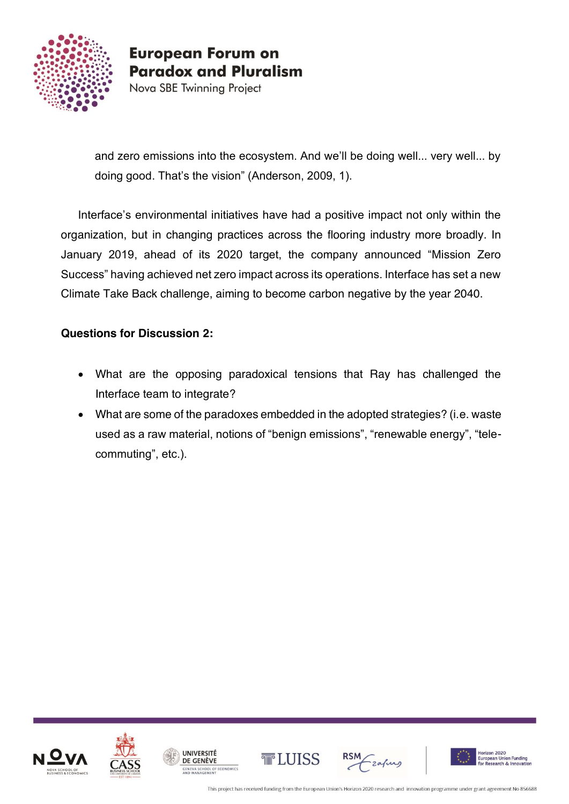

Nova SBE Twinning Project

and zero emissions into the ecosystem. And we'll be doing well... very well... by doing good. That's the vision" (Anderson, 2009, 1).

Interface's environmental initiatives have had a positive impact not only within the organization, but in changing practices across the flooring industry more broadly. In January 2019, ahead of its 2020 target, the company announced "Mission Zero Success" having achieved net zero impact across its operations. Interface has set a new Climate Take Back challenge, aiming to become carbon negative by the year 2040.

### **Questions for Discussion 2:**

- What are the opposing paradoxical tensions that Ray has challenged the Interface team to integrate?
- What are some of the paradoxes embedded in the adopted strategies? (i.e. waste used as a raw material, notions of "benign emissions", "renewable energy", "telecommuting", etc.).











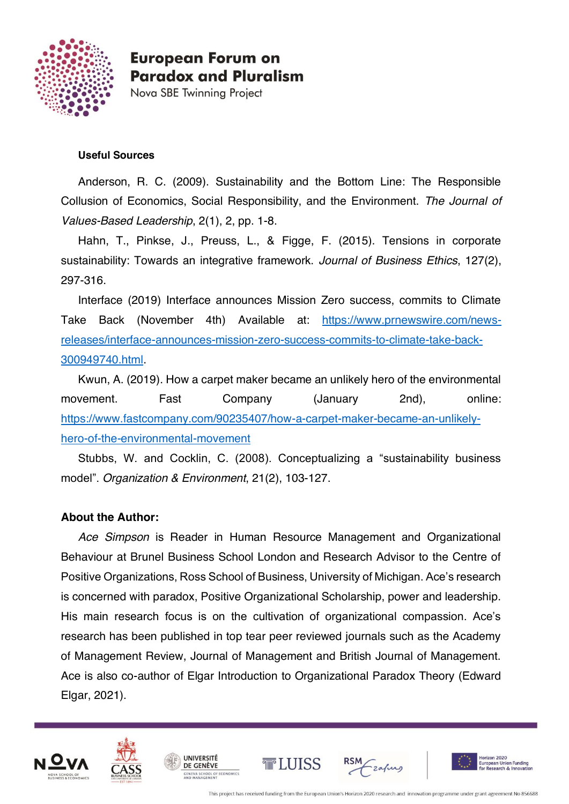

Nova SBE Twinning Project

#### **Useful Sources**

Anderson, R. C. (2009). Sustainability and the Bottom Line: The Responsible Collusion of Economics, Social Responsibility, and the Environment. *The Journal of Values-Based Leadership*, 2(1), 2, pp. 1-8.

Hahn, T., Pinkse, J., Preuss, L., & Figge, F. (2015). Tensions in corporate sustainability: Towards an integrative framework. *Journal of Business Ethics*, 127(2), 297-316.

Interface (2019) Interface announces Mission Zero success, commits to Climate Take Back (November 4th) Available at: [https://www.prnewswire.com/news](https://www.prnewswire.com/news-releases/interface-announces-mission-zero-success-commits-to-climate-take-back-300949740.html)[releases/interface-announces-mission-zero-success-commits-to-climate-take-back-](https://www.prnewswire.com/news-releases/interface-announces-mission-zero-success-commits-to-climate-take-back-300949740.html)[300949740.html.](https://www.prnewswire.com/news-releases/interface-announces-mission-zero-success-commits-to-climate-take-back-300949740.html)

Kwun, A. (2019). How a carpet maker became an unlikely hero of the environmental movement. Fast Company (January 2nd), online: [https://www.fastcompany.com/90235407/how-a-carpet-maker-became-an-unlikely](https://www.fastcompany.com/90235407/how-a-carpet-maker-became-an-unlikely-hero-of-the-environmental-movement)[hero-of-the-environmental-movement](https://www.fastcompany.com/90235407/how-a-carpet-maker-became-an-unlikely-hero-of-the-environmental-movement)

Stubbs, W. and Cocklin, C. (2008). Conceptualizing a "sustainability business model". *Organization & Environment*, 21(2), 103-127.

#### **About the Author:**

*Ace Simpson* is Reader in Human Resource Management and Organizational Behaviour at Brunel Business School London and Research Advisor to the Centre of Positive Organizations, Ross School of Business, University of Michigan. Ace's research is concerned with paradox, Positive Organizational Scholarship, power and leadership. His main research focus is on the cultivation of organizational compassion. Ace's research has been published in top tear peer reviewed journals such as the Academy of Management Review, Journal of Management and British Journal of Management. Ace is also co-author of Elgar Introduction to Organizational Paradox Theory (Edward Elgar, 2021).





UNIVERSITÉ

DE GENÈVE